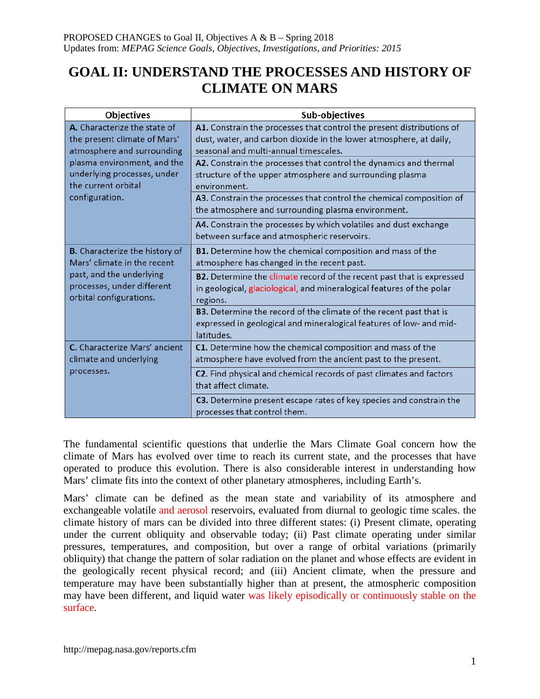# **GOAL II: UNDERSTAND THE PROCESSES AND HISTORY OF CLIMATE ON MARS**

| Objectives                                                                                                                                                                                        | Sub-objectives                                                                                                                                                                       |
|---------------------------------------------------------------------------------------------------------------------------------------------------------------------------------------------------|--------------------------------------------------------------------------------------------------------------------------------------------------------------------------------------|
| A. Characterize the state of<br>the present climate of Mars'<br>atmosphere and surrounding<br>plasma environment, and the<br>underlying processes, under<br>the current orbital<br>configuration. | A1. Constrain the processes that control the present distributions of<br>dust, water, and carbon dioxide in the lower atmosphere, at daily,<br>seasonal and multi-annual timescales. |
|                                                                                                                                                                                                   | A2. Constrain the processes that control the dynamics and thermal<br>structure of the upper atmosphere and surrounding plasma<br>environment.                                        |
|                                                                                                                                                                                                   | A3. Constrain the processes that control the chemical composition of<br>the atmosphere and surrounding plasma environment.                                                           |
|                                                                                                                                                                                                   | A4. Constrain the processes by which volatiles and dust exchange<br>between surface and atmospheric reservoirs.                                                                      |
| <b>B.</b> Characterize the history of<br>Mars' climate in the recent<br>past, and the underlying<br>processes, under different<br>orbital configurations.                                         | B1. Determine how the chemical composition and mass of the<br>atmosphere has changed in the recent past.                                                                             |
|                                                                                                                                                                                                   | B2. Determine the climate record of the recent past that is expressed<br>in geological, glaciological, and mineralogical features of the polar<br>regions.                           |
|                                                                                                                                                                                                   | B3. Determine the record of the climate of the recent past that is<br>expressed in geological and mineralogical features of low- and mid-<br>latitudes.                              |
| C. Characterize Mars' ancient<br>climate and underlying<br>processes.                                                                                                                             | C1. Determine how the chemical composition and mass of the<br>atmosphere have evolved from the ancient past to the present.                                                          |
|                                                                                                                                                                                                   | C2. Find physical and chemical records of past climates and factors<br>that affect climate.                                                                                          |
|                                                                                                                                                                                                   | C3. Determine present escape rates of key species and constrain the<br>processes that control them.                                                                                  |

The fundamental scientific questions that underlie the Mars Climate Goal concern how the climate of Mars has evolved over time to reach its current state, and the processes that have operated to produce this evolution. There is also considerable interest in understanding how Mars' climate fits into the context of other planetary atmospheres, including Earth's.

Mars' climate can be defined as the mean state and variability of its atmosphere and exchangeable volatile and aerosol reservoirs, evaluated from diurnal to geologic time scales. the climate history of mars can be divided into three different states: (i) Present climate, operating under the current obliquity and observable today; (ii) Past climate operating under similar pressures, temperatures, and composition, but over a range of orbital variations (primarily obliquity) that change the pattern of solar radiation on the planet and whose effects are evident in the geologically recent physical record; and (iii) Ancient climate, when the pressure and temperature may have been substantially higher than at present, the atmospheric composition may have been different, and liquid water was likely episodically or continuously stable on the surface.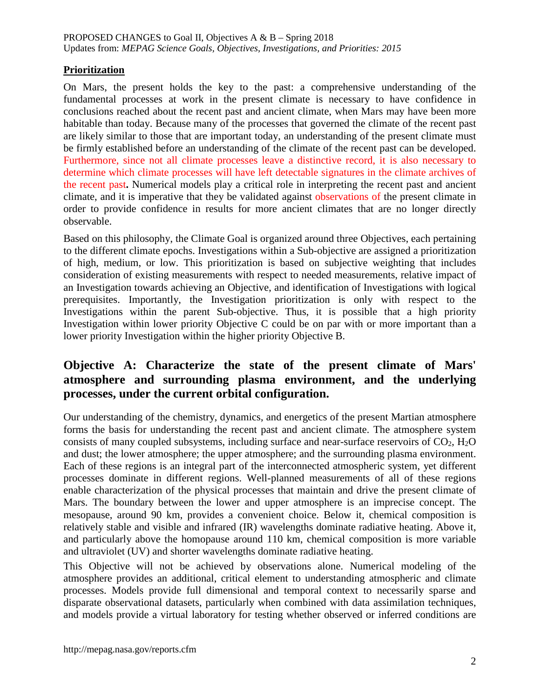# **Prioritization**

On Mars, the present holds the key to the past: a comprehensive understanding of the fundamental processes at work in the present climate is necessary to have confidence in conclusions reached about the recent past and ancient climate, when Mars may have been more habitable than today. Because many of the processes that governed the climate of the recent past are likely similar to those that are important today, an understanding of the present climate must be firmly established before an understanding of the climate of the recent past can be developed. Furthermore, since not all climate processes leave a distinctive record, it is also necessary to determine which climate processes will have left detectable signatures in the climate archives of the recent past**.** Numerical models play a critical role in interpreting the recent past and ancient climate, and it is imperative that they be validated against observations of the present climate in order to provide confidence in results for more ancient climates that are no longer directly observable.

Based on this philosophy, the Climate Goal is organized around three Objectives, each pertaining to the different climate epochs. Investigations within a Sub-objective are assigned a prioritization of high, medium, or low. This prioritization is based on subjective weighting that includes consideration of existing measurements with respect to needed measurements, relative impact of an Investigation towards achieving an Objective, and identification of Investigations with logical prerequisites. Importantly, the Investigation prioritization is only with respect to the Investigations within the parent Sub-objective. Thus, it is possible that a high priority Investigation within lower priority Objective C could be on par with or more important than a lower priority Investigation within the higher priority Objective B.

# **Objective A: Characterize the state of the present climate of Mars' atmosphere and surrounding plasma environment, and the underlying processes, under the current orbital configuration.**

Our understanding of the chemistry, dynamics, and energetics of the present Martian atmosphere forms the basis for understanding the recent past and ancient climate. The atmosphere system consists of many coupled subsystems, including surface and near-surface reservoirs of  $CO<sub>2</sub>$ ,  $H<sub>2</sub>O$ and dust; the lower atmosphere; the upper atmosphere; and the surrounding plasma environment. Each of these regions is an integral part of the interconnected atmospheric system, yet different processes dominate in different regions. Well-planned measurements of all of these regions enable characterization of the physical processes that maintain and drive the present climate of Mars. The boundary between the lower and upper atmosphere is an imprecise concept. The mesopause, around 90 km, provides a convenient choice. Below it, chemical composition is relatively stable and visible and infrared (IR) wavelengths dominate radiative heating. Above it, and particularly above the homopause around 110 km, chemical composition is more variable and ultraviolet (UV) and shorter wavelengths dominate radiative heating.

This Objective will not be achieved by observations alone. Numerical modeling of the atmosphere provides an additional, critical element to understanding atmospheric and climate processes. Models provide full dimensional and temporal context to necessarily sparse and disparate observational datasets, particularly when combined with data assimilation techniques, and models provide a virtual laboratory for testing whether observed or inferred conditions are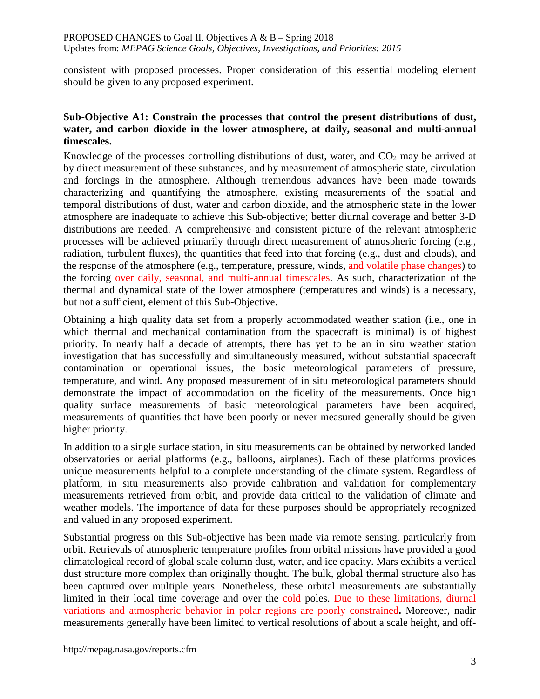consistent with proposed processes. Proper consideration of this essential modeling element should be given to any proposed experiment.

## **Sub-Objective A1: Constrain the processes that control the present distributions of dust, water, and carbon dioxide in the lower atmosphere, at daily, seasonal and multi-annual timescales.**

Knowledge of the processes controlling distributions of dust, water, and  $CO<sub>2</sub>$  may be arrived at by direct measurement of these substances, and by measurement of atmospheric state, circulation and forcings in the atmosphere. Although tremendous advances have been made towards characterizing and quantifying the atmosphere, existing measurements of the spatial and temporal distributions of dust, water and carbon dioxide, and the atmospheric state in the lower atmosphere are inadequate to achieve this Sub-objective; better diurnal coverage and better 3-D distributions are needed. A comprehensive and consistent picture of the relevant atmospheric processes will be achieved primarily through direct measurement of atmospheric forcing (e.g., radiation, turbulent fluxes), the quantities that feed into that forcing (e.g., dust and clouds), and the response of the atmosphere (e.g., temperature, pressure, winds, and volatile phase changes) to the forcing over daily, seasonal, and multi-annual timescales. As such, characterization of the thermal and dynamical state of the lower atmosphere (temperatures and winds) is a necessary, but not a sufficient, element of this Sub-Objective.

Obtaining a high quality data set from a properly accommodated weather station (i.e., one in which thermal and mechanical contamination from the spacecraft is minimal) is of highest priority. In nearly half a decade of attempts, there has yet to be an in situ weather station investigation that has successfully and simultaneously measured, without substantial spacecraft contamination or operational issues, the basic meteorological parameters of pressure, temperature, and wind. Any proposed measurement of in situ meteorological parameters should demonstrate the impact of accommodation on the fidelity of the measurements. Once high quality surface measurements of basic meteorological parameters have been acquired, measurements of quantities that have been poorly or never measured generally should be given higher priority.

In addition to a single surface station, in situ measurements can be obtained by networked landed observatories or aerial platforms (e.g., balloons, airplanes). Each of these platforms provides unique measurements helpful to a complete understanding of the climate system. Regardless of platform, in situ measurements also provide calibration and validation for complementary measurements retrieved from orbit, and provide data critical to the validation of climate and weather models. The importance of data for these purposes should be appropriately recognized and valued in any proposed experiment.

Substantial progress on this Sub-objective has been made via remote sensing, particularly from orbit. Retrievals of atmospheric temperature profiles from orbital missions have provided a good climatological record of global scale column dust, water, and ice opacity. Mars exhibits a vertical dust structure more complex than originally thought. The bulk, global thermal structure also has been captured over multiple years. Nonetheless, these orbital measurements are substantially limited in their local time coverage and over the cold poles. Due to these limitations, diurnal variations and atmospheric behavior in polar regions are poorly constrained**.** Moreover, nadir measurements generally have been limited to vertical resolutions of about a scale height, and off-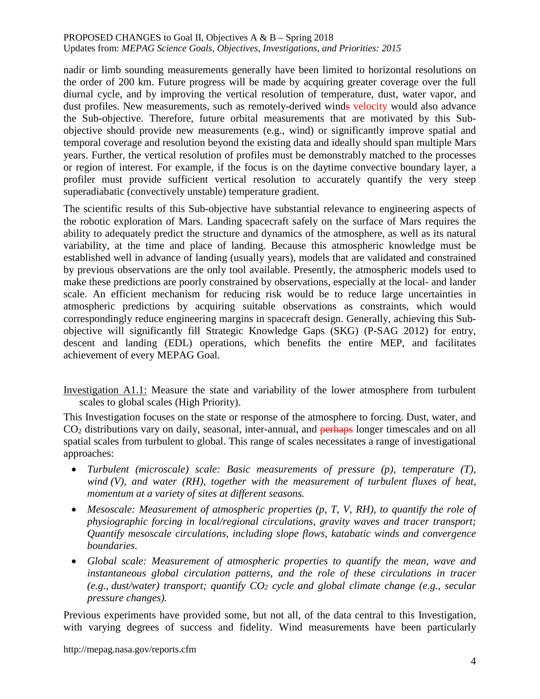nadir or limb sounding measurements generally have been limited to horizontal resolutions on the order of 200 km. Future progress will be made by acquiring greater coverage over the full diurnal cycle, and by improving the vertical resolution of temperature, dust, water vapor, and dust profiles. New measurements, such as remotely-derived winds velocity would also advance the Sub-objective. Therefore, future orbital measurements that are motivated by this Subobjective should provide new measurements (e.g., wind) or significantly improve spatial and temporal coverage and resolution beyond the existing data and ideally should span multiple Mars years. Further, the vertical resolution of profiles must be demonstrably matched to the processes or region of interest. For example, if the focus is on the daytime convective boundary layer, a profiler must provide sufficient vertical resolution to accurately quantify the very steep superadiabatic (convectively unstable) temperature gradient.

The scientific results of this Sub-objective have substantial relevance to engineering aspects of the robotic exploration of Mars. Landing spacecraft safely on the surface of Mars requires the ability to adequately predict the structure and dynamics of the atmosphere, as well as its natural variability, at the time and place of landing. Because this atmospheric knowledge must be established well in advance of landing (usually years), models that are validated and constrained by previous observations are the only tool available. Presently, the atmospheric models used to make these predictions are poorly constrained by observations, especially at the local- and lander scale. An efficient mechanism for reducing risk would be to reduce large uncertainties in atmospheric predictions by acquiring suitable observations as constraints, which would correspondingly reduce engineering margins in spacecraft design. Generally, achieving this Subobjective will significantly fill Strategic Knowledge Gaps (SKG) (P-SAG 2012) for entry, descent and landing (EDL) operations, which benefits the entire MEP, and facilitates achievement of every MEPAG Goal.

Investigation A1.1: Measure the state and variability of the lower atmosphere from turbulent scales to global scales (High Priority).

This Investigation focuses on the state or response of the atmosphere to forcing. Dust, water, and CO<sub>2</sub> distributions vary on daily, seasonal, inter-annual, and perhaps longer timescales and on all spatial scales from turbulent to global. This range of scales necessitates a range of investigational approaches:

- *Turbulent (microscale) scale: Basic measurements of pressure (p), temperature (T), wind (V), and water (RH), together with the measurement of turbulent fluxes of heat, momentum at a variety of sites at different seasons.*
- *Mesoscale: Measurement of atmospheric properties (p, T, V, RH), to quantify the role of physiographic forcing in local/regional circulations, gravity waves and tracer transport; Quantify mesoscale circulations, including slope flows, katabatic winds and convergence boundaries.*
- *Global scale: Measurement of atmospheric properties to quantify the mean, wave and instantaneous global circulation patterns, and the role of these circulations in tracer (e.g., dust/water) transport; quantify CO2 cycle and global climate change (e.g., secular pressure changes).*

Previous experiments have provided some, but not all, of the data central to this Investigation, with varying degrees of success and fidelity. Wind measurements have been particularly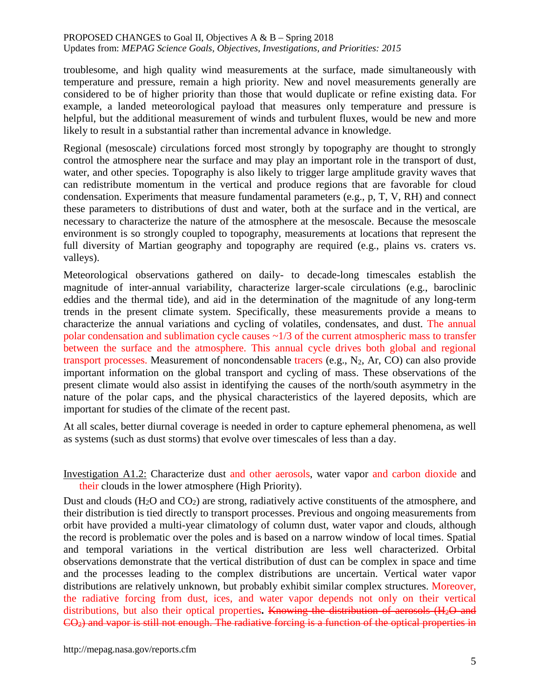troublesome, and high quality wind measurements at the surface, made simultaneously with temperature and pressure, remain a high priority. New and novel measurements generally are considered to be of higher priority than those that would duplicate or refine existing data. For example, a landed meteorological payload that measures only temperature and pressure is helpful, but the additional measurement of winds and turbulent fluxes, would be new and more likely to result in a substantial rather than incremental advance in knowledge.

Regional (mesoscale) circulations forced most strongly by topography are thought to strongly control the atmosphere near the surface and may play an important role in the transport of dust, water, and other species. Topography is also likely to trigger large amplitude gravity waves that can redistribute momentum in the vertical and produce regions that are favorable for cloud condensation. Experiments that measure fundamental parameters (e.g., p, T, V, RH) and connect these parameters to distributions of dust and water, both at the surface and in the vertical, are necessary to characterize the nature of the atmosphere at the mesoscale. Because the mesoscale environment is so strongly coupled to topography, measurements at locations that represent the full diversity of Martian geography and topography are required (e.g., plains vs. craters vs. valleys).

Meteorological observations gathered on daily- to decade-long timescales establish the magnitude of inter-annual variability, characterize larger-scale circulations (e.g., baroclinic eddies and the thermal tide), and aid in the determination of the magnitude of any long-term trends in the present climate system. Specifically, these measurements provide a means to characterize the annual variations and cycling of volatiles, condensates, and dust. The annual polar condensation and sublimation cycle causes  $\sim$ 1/3 of the current atmospheric mass to transfer between the surface and the atmosphere. This annual cycle drives both global and regional transport processes. Measurement of noncondensable tracers (e.g.,  $N_2$ , Ar, CO) can also provide important information on the global transport and cycling of mass. These observations of the present climate would also assist in identifying the causes of the north/south asymmetry in the nature of the polar caps, and the physical characteristics of the layered deposits, which are important for studies of the climate of the recent past.

At all scales, better diurnal coverage is needed in order to capture ephemeral phenomena, as well as systems (such as dust storms) that evolve over timescales of less than a day.

Investigation A1.2: Characterize dust and other aerosols, water vapor and carbon dioxide and their clouds in the lower atmosphere (High Priority).

Dust and clouds  $(H_2O \text{ and } CO_2)$  are strong, radiatively active constituents of the atmosphere, and their distribution is tied directly to transport processes. Previous and ongoing measurements from orbit have provided a multi-year climatology of column dust, water vapor and clouds, although the record is problematic over the poles and is based on a narrow window of local times. Spatial and temporal variations in the vertical distribution are less well characterized. Orbital observations demonstrate that the vertical distribution of dust can be complex in space and time and the processes leading to the complex distributions are uncertain. Vertical water vapor distributions are relatively unknown, but probably exhibit similar complex structures. Moreover, the radiative forcing from dust, ices, and water vapor depends not only on their vertical distributions, but also their optical properties. Knowing the distribution of aerosols (H<sub>2</sub>O and CO2) and vapor is still not enough. The radiative forcing is a function of the optical properties in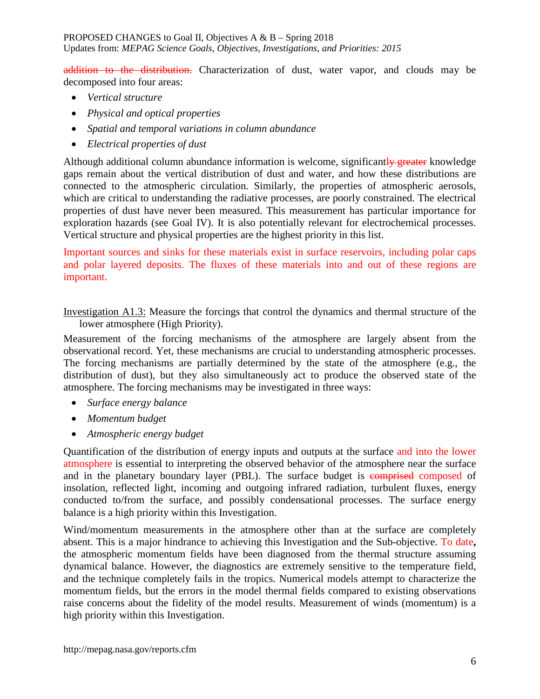addition to the distribution. Characterization of dust, water vapor, and clouds may be decomposed into four areas:

- *Vertical structure*
- *Physical and optical properties*
- *Spatial and temporal variations in column abundance*
- *Electrical properties of dust*

Although additional column abundance information is welcome, significantly greater knowledge gaps remain about the vertical distribution of dust and water, and how these distributions are connected to the atmospheric circulation. Similarly, the properties of atmospheric aerosols, which are critical to understanding the radiative processes, are poorly constrained. The electrical properties of dust have never been measured. This measurement has particular importance for exploration hazards (see Goal IV). It is also potentially relevant for electrochemical processes. Vertical structure and physical properties are the highest priority in this list.

Important sources and sinks for these materials exist in surface reservoirs, including polar caps and polar layered deposits. The fluxes of these materials into and out of these regions are important.

Investigation A1.3: Measure the forcings that control the dynamics and thermal structure of the lower atmosphere (High Priority).

Measurement of the forcing mechanisms of the atmosphere are largely absent from the observational record. Yet, these mechanisms are crucial to understanding atmospheric processes. The forcing mechanisms are partially determined by the state of the atmosphere (e.g., the distribution of dust), but they also simultaneously act to produce the observed state of the atmosphere. The forcing mechanisms may be investigated in three ways:

- *Surface energy balance*
- *Momentum budget*
- *Atmospheric energy budget*

Quantification of the distribution of energy inputs and outputs at the surface and into the lower atmosphere is essential to interpreting the observed behavior of the atmosphere near the surface and in the planetary boundary layer (PBL). The surface budget is comprised composed of insolation, reflected light, incoming and outgoing infrared radiation, turbulent fluxes, energy conducted to/from the surface, and possibly condensational processes. The surface energy balance is a high priority within this Investigation.

Wind/momentum measurements in the atmosphere other than at the surface are completely absent. This is a major hindrance to achieving this Investigation and the Sub-objective. To date**,**  the atmospheric momentum fields have been diagnosed from the thermal structure assuming dynamical balance. However, the diagnostics are extremely sensitive to the temperature field, and the technique completely fails in the tropics. Numerical models attempt to characterize the momentum fields, but the errors in the model thermal fields compared to existing observations raise concerns about the fidelity of the model results. Measurement of winds (momentum) is a high priority within this Investigation.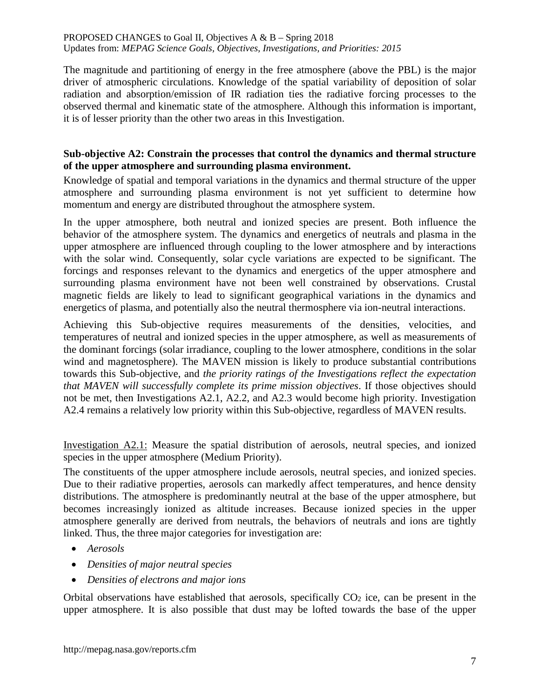The magnitude and partitioning of energy in the free atmosphere (above the PBL) is the major driver of atmospheric circulations. Knowledge of the spatial variability of deposition of solar radiation and absorption/emission of IR radiation ties the radiative forcing processes to the observed thermal and kinematic state of the atmosphere. Although this information is important, it is of lesser priority than the other two areas in this Investigation.

# **Sub-objective A2: Constrain the processes that control the dynamics and thermal structure of the upper atmosphere and surrounding plasma environment.**

Knowledge of spatial and temporal variations in the dynamics and thermal structure of the upper atmosphere and surrounding plasma environment is not yet sufficient to determine how momentum and energy are distributed throughout the atmosphere system.

In the upper atmosphere, both neutral and ionized species are present. Both influence the behavior of the atmosphere system. The dynamics and energetics of neutrals and plasma in the upper atmosphere are influenced through coupling to the lower atmosphere and by interactions with the solar wind. Consequently, solar cycle variations are expected to be significant. The forcings and responses relevant to the dynamics and energetics of the upper atmosphere and surrounding plasma environment have not been well constrained by observations. Crustal magnetic fields are likely to lead to significant geographical variations in the dynamics and energetics of plasma, and potentially also the neutral thermosphere via ion-neutral interactions.

Achieving this Sub-objective requires measurements of the densities, velocities, and temperatures of neutral and ionized species in the upper atmosphere, as well as measurements of the dominant forcings (solar irradiance, coupling to the lower atmosphere, conditions in the solar wind and magnetosphere). The MAVEN mission is likely to produce substantial contributions towards this Sub-objective, and *the priority ratings of the Investigations reflect the expectation that MAVEN will successfully complete its prime mission objectives*. If those objectives should not be met, then Investigations A2.1, A2.2, and A2.3 would become high priority. Investigation A2.4 remains a relatively low priority within this Sub-objective, regardless of MAVEN results.

Investigation A2.1: Measure the spatial distribution of aerosols, neutral species, and ionized species in the upper atmosphere (Medium Priority).

The constituents of the upper atmosphere include aerosols, neutral species, and ionized species. Due to their radiative properties, aerosols can markedly affect temperatures, and hence density distributions. The atmosphere is predominantly neutral at the base of the upper atmosphere, but becomes increasingly ionized as altitude increases. Because ionized species in the upper atmosphere generally are derived from neutrals, the behaviors of neutrals and ions are tightly linked. Thus, the three major categories for investigation are:

- *Aerosols*
- *Densities of major neutral species*
- *Densities of electrons and major ions*

Orbital observations have established that aerosols, specifically  $CO<sub>2</sub>$  ice, can be present in the upper atmosphere. It is also possible that dust may be lofted towards the base of the upper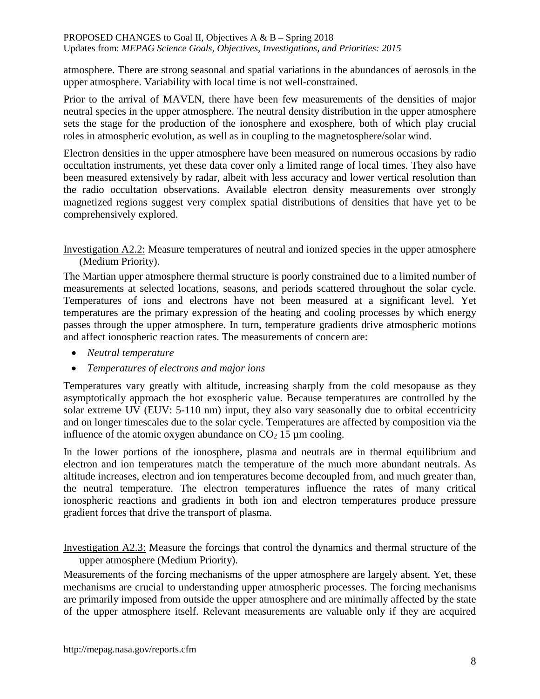atmosphere. There are strong seasonal and spatial variations in the abundances of aerosols in the upper atmosphere. Variability with local time is not well-constrained.

Prior to the arrival of MAVEN, there have been few measurements of the densities of major neutral species in the upper atmosphere. The neutral density distribution in the upper atmosphere sets the stage for the production of the ionosphere and exosphere, both of which play crucial roles in atmospheric evolution, as well as in coupling to the magnetosphere/solar wind.

Electron densities in the upper atmosphere have been measured on numerous occasions by radio occultation instruments, yet these data cover only a limited range of local times. They also have been measured extensively by radar, albeit with less accuracy and lower vertical resolution than the radio occultation observations. Available electron density measurements over strongly magnetized regions suggest very complex spatial distributions of densities that have yet to be comprehensively explored.

Investigation A2.2: Measure temperatures of neutral and ionized species in the upper atmosphere (Medium Priority).

The Martian upper atmosphere thermal structure is poorly constrained due to a limited number of measurements at selected locations, seasons, and periods scattered throughout the solar cycle. Temperatures of ions and electrons have not been measured at a significant level. Yet temperatures are the primary expression of the heating and cooling processes by which energy passes through the upper atmosphere. In turn, temperature gradients drive atmospheric motions and affect ionospheric reaction rates. The measurements of concern are:

- *Neutral temperature*
- *Temperatures of electrons and major ions*

Temperatures vary greatly with altitude, increasing sharply from the cold mesopause as they asymptotically approach the hot exospheric value. Because temperatures are controlled by the solar extreme UV (EUV: 5-110 nm) input, they also vary seasonally due to orbital eccentricity and on longer timescales due to the solar cycle. Temperatures are affected by composition via the influence of the atomic oxygen abundance on  $CO<sub>2</sub> 15 \mu m$  cooling.

In the lower portions of the ionosphere, plasma and neutrals are in thermal equilibrium and electron and ion temperatures match the temperature of the much more abundant neutrals. As altitude increases, electron and ion temperatures become decoupled from, and much greater than, the neutral temperature. The electron temperatures influence the rates of many critical ionospheric reactions and gradients in both ion and electron temperatures produce pressure gradient forces that drive the transport of plasma.

Investigation A2.3: Measure the forcings that control the dynamics and thermal structure of the upper atmosphere (Medium Priority).

Measurements of the forcing mechanisms of the upper atmosphere are largely absent. Yet, these mechanisms are crucial to understanding upper atmospheric processes. The forcing mechanisms are primarily imposed from outside the upper atmosphere and are minimally affected by the state of the upper atmosphere itself. Relevant measurements are valuable only if they are acquired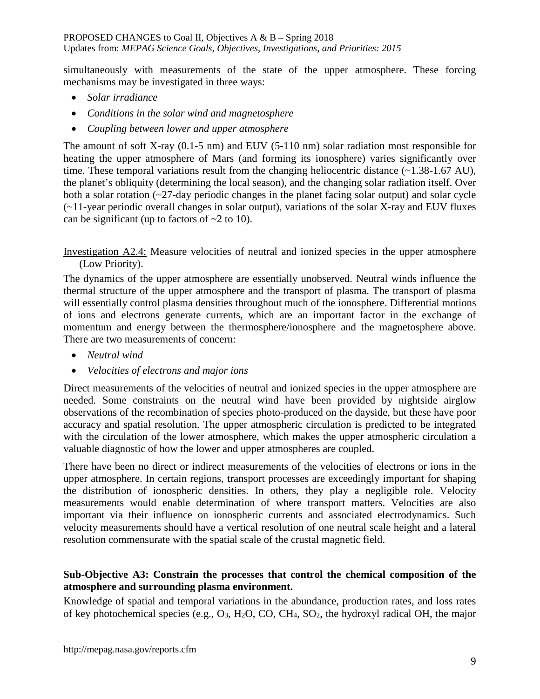simultaneously with measurements of the state of the upper atmosphere. These forcing mechanisms may be investigated in three ways:

- *Solar irradiance*
- *Conditions in the solar wind and magnetosphere*
- *Coupling between lower and upper atmosphere*

The amount of soft X-ray (0.1-5 nm) and EUV (5-110 nm) solar radiation most responsible for heating the upper atmosphere of Mars (and forming its ionosphere) varies significantly over time. These temporal variations result from the changing heliocentric distance (~1.38-1.67 AU), the planet's obliquity (determining the local season), and the changing solar radiation itself. Over both a solar rotation  $\left(\frac{27}{4}a\right)$  periodic changes in the planet facing solar output) and solar cycle (~11-year periodic overall changes in solar output), variations of the solar X-ray and EUV fluxes can be significant (up to factors of  $\sim$ 2 to 10).

Investigation A2.4: Measure velocities of neutral and ionized species in the upper atmosphere (Low Priority).

The dynamics of the upper atmosphere are essentially unobserved. Neutral winds influence the thermal structure of the upper atmosphere and the transport of plasma. The transport of plasma will essentially control plasma densities throughout much of the ionosphere. Differential motions of ions and electrons generate currents, which are an important factor in the exchange of momentum and energy between the thermosphere/ionosphere and the magnetosphere above. There are two measurements of concern:

- *Neutral wind*
- *Velocities of electrons and major ions*

Direct measurements of the velocities of neutral and ionized species in the upper atmosphere are needed. Some constraints on the neutral wind have been provided by nightside airglow observations of the recombination of species photo-produced on the dayside, but these have poor accuracy and spatial resolution. The upper atmospheric circulation is predicted to be integrated with the circulation of the lower atmosphere, which makes the upper atmospheric circulation a valuable diagnostic of how the lower and upper atmospheres are coupled.

There have been no direct or indirect measurements of the velocities of electrons or ions in the upper atmosphere. In certain regions, transport processes are exceedingly important for shaping the distribution of ionospheric densities. In others, they play a negligible role. Velocity measurements would enable determination of where transport matters. Velocities are also important via their influence on ionospheric currents and associated electrodynamics. Such velocity measurements should have a vertical resolution of one neutral scale height and a lateral resolution commensurate with the spatial scale of the crustal magnetic field.

# **Sub-Objective A3: Constrain the processes that control the chemical composition of the atmosphere and surrounding plasma environment.**

Knowledge of spatial and temporal variations in the abundance, production rates, and loss rates of key photochemical species (e.g.,  $O_3$ ,  $H_2O$ ,  $CO$ ,  $CH_4$ ,  $SO_2$ , the hydroxyl radical OH, the major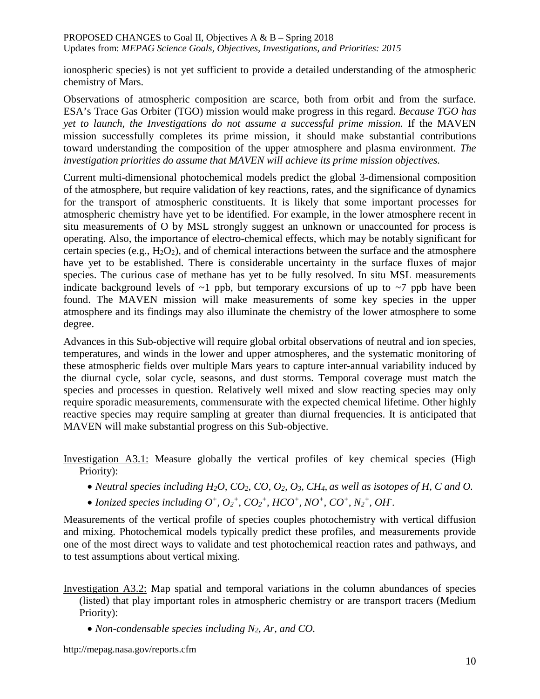ionospheric species) is not yet sufficient to provide a detailed understanding of the atmospheric chemistry of Mars.

Observations of atmospheric composition are scarce, both from orbit and from the surface. ESA's Trace Gas Orbiter (TGO) mission would make progress in this regard. *Because TGO has yet to launch, the Investigations do not assume a successful prime mission.* If the MAVEN mission successfully completes its prime mission, it should make substantial contributions toward understanding the composition of the upper atmosphere and plasma environment. *The investigation priorities do assume that MAVEN will achieve its prime mission objectives.*

Current multi-dimensional photochemical models predict the global 3-dimensional composition of the atmosphere, but require validation of key reactions, rates, and the significance of dynamics for the transport of atmospheric constituents. It is likely that some important processes for atmospheric chemistry have yet to be identified. For example, in the lower atmosphere recent in situ measurements of O by MSL strongly suggest an unknown or unaccounted for process is operating. Also, the importance of electro-chemical effects, which may be notably significant for certain species (e.g.,  $H_2O_2$ ), and of chemical interactions between the surface and the atmosphere have yet to be established. There is considerable uncertainty in the surface fluxes of major species. The curious case of methane has yet to be fully resolved. In situ MSL measurements indicate background levels of  $\sim$ 1 ppb, but temporary excursions of up to  $\sim$ 7 ppb have been found. The MAVEN mission will make measurements of some key species in the upper atmosphere and its findings may also illuminate the chemistry of the lower atmosphere to some degree.

Advances in this Sub-objective will require global orbital observations of neutral and ion species, temperatures, and winds in the lower and upper atmospheres, and the systematic monitoring of these atmospheric fields over multiple Mars years to capture inter-annual variability induced by the diurnal cycle, solar cycle, seasons, and dust storms. Temporal coverage must match the species and processes in question. Relatively well mixed and slow reacting species may only require sporadic measurements, commensurate with the expected chemical lifetime. Other highly reactive species may require sampling at greater than diurnal frequencies. It is anticipated that MAVEN will make substantial progress on this Sub-objective.

Investigation A3.1: Measure globally the vertical profiles of key chemical species (High Priority):

- *Neutral species including H<sub>2</sub>O, CO<sub>2</sub>, CO, O<sub>2</sub>, O<sub>3</sub>, CH<sub>4</sub>, as well as isotopes of H, C and O.*
- *Ionized species including*  $O^+$ ,  $O_2^+$ ,  $CO_2^+$ ,  $HCO^+$ ,  $NO^+$ ,  $CO^+$ ,  $N_2^+$ ,  $OH$ .

Measurements of the vertical profile of species couples photochemistry with vertical diffusion and mixing. Photochemical models typically predict these profiles, and measurements provide one of the most direct ways to validate and test photochemical reaction rates and pathways, and to test assumptions about vertical mixing.

- Investigation A3.2: Map spatial and temporal variations in the column abundances of species (listed) that play important roles in atmospheric chemistry or are transport tracers (Medium Priority):
	- *Non-condensable species including N2, Ar, and CO.*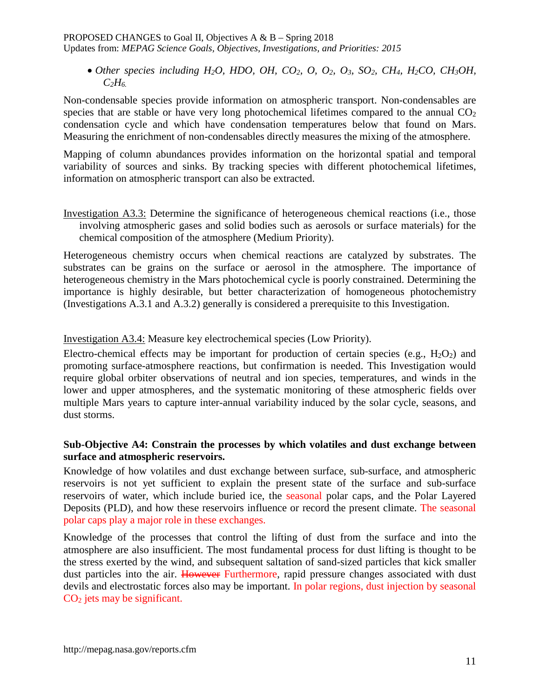• Other species including  $H_2O$ , HDO, OH, CO<sub>2</sub>, O, O<sub>2</sub>, O<sub>3</sub>, SO<sub>2</sub>, CH<sub>4</sub>, H<sub>2</sub>CO, CH<sub>3</sub>OH,  $C_2H_6$ .

Non-condensable species provide information on atmospheric transport. Non-condensables are species that are stable or have very long photochemical lifetimes compared to the annual  $CO<sub>2</sub>$ condensation cycle and which have condensation temperatures below that found on Mars. Measuring the enrichment of non-condensables directly measures the mixing of the atmosphere.

Mapping of column abundances provides information on the horizontal spatial and temporal variability of sources and sinks. By tracking species with different photochemical lifetimes, information on atmospheric transport can also be extracted.

Investigation A3.3: Determine the significance of heterogeneous chemical reactions (i.e., those involving atmospheric gases and solid bodies such as aerosols or surface materials) for the chemical composition of the atmosphere (Medium Priority).

Heterogeneous chemistry occurs when chemical reactions are catalyzed by substrates. The substrates can be grains on the surface or aerosol in the atmosphere. The importance of heterogeneous chemistry in the Mars photochemical cycle is poorly constrained. Determining the importance is highly desirable, but better characterization of homogeneous photochemistry (Investigations A.3.1 and A.3.2) generally is considered a prerequisite to this Investigation.

# Investigation A3.4: Measure key electrochemical species (Low Priority).

Electro-chemical effects may be important for production of certain species (e.g.,  $H_2O_2$ ) and promoting surface-atmosphere reactions, but confirmation is needed. This Investigation would require global orbiter observations of neutral and ion species, temperatures, and winds in the lower and upper atmospheres, and the systematic monitoring of these atmospheric fields over multiple Mars years to capture inter-annual variability induced by the solar cycle, seasons, and dust storms.

# **Sub-Objective A4: Constrain the processes by which volatiles and dust exchange between surface and atmospheric reservoirs.**

Knowledge of how volatiles and dust exchange between surface, sub-surface, and atmospheric reservoirs is not yet sufficient to explain the present state of the surface and sub-surface reservoirs of water, which include buried ice, the seasonal polar caps, and the Polar Layered Deposits (PLD), and how these reservoirs influence or record the present climate. The seasonal polar caps play a major role in these exchanges.

Knowledge of the processes that control the lifting of dust from the surface and into the atmosphere are also insufficient. The most fundamental process for dust lifting is thought to be the stress exerted by the wind, and subsequent saltation of sand-sized particles that kick smaller dust particles into the air. However Furthermore, rapid pressure changes associated with dust devils and electrostatic forces also may be important. In polar regions, dust injection by seasonal CO<sub>2</sub> jets may be significant.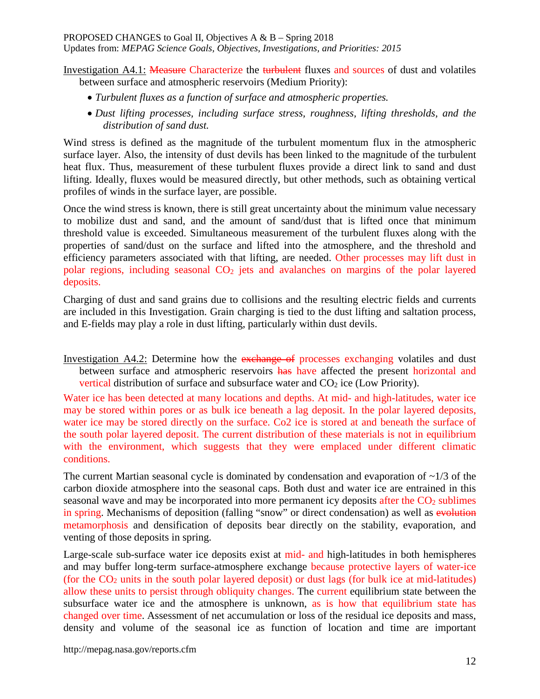# PROPOSED CHANGES to Goal II, Objectives A & B – Spring 2018

Updates from: *MEPAG Science Goals, Objectives, Investigations, and Priorities: 2015*

Investigation A4.1: Measure Characterize the turbulent fluxes and sources of dust and volatiles between surface and atmospheric reservoirs (Medium Priority):

- *Turbulent fluxes as a function of surface and atmospheric properties.*
- *Dust lifting processes, including surface stress, roughness, lifting thresholds, and the distribution of sand dust.*

Wind stress is defined as the magnitude of the turbulent momentum flux in the atmospheric surface layer. Also, the intensity of dust devils has been linked to the magnitude of the turbulent heat flux. Thus, measurement of these turbulent fluxes provide a direct link to sand and dust lifting. Ideally, fluxes would be measured directly, but other methods, such as obtaining vertical profiles of winds in the surface layer, are possible.

Once the wind stress is known, there is still great uncertainty about the minimum value necessary to mobilize dust and sand, and the amount of sand/dust that is lifted once that minimum threshold value is exceeded. Simultaneous measurement of the turbulent fluxes along with the properties of sand/dust on the surface and lifted into the atmosphere, and the threshold and efficiency parameters associated with that lifting, are needed. Other processes may lift dust in polar regions, including seasonal CO2 jets and avalanches on margins of the polar layered deposits.

Charging of dust and sand grains due to collisions and the resulting electric fields and currents are included in this Investigation. Grain charging is tied to the dust lifting and saltation process, and E-fields may play a role in dust lifting, particularly within dust devils.

Investigation A4.2: Determine how the exchange of processes exchanging volatiles and dust between surface and atmospheric reservoirs has have affected the present horizontal and vertical distribution of surface and subsurface water and  $CO<sub>2</sub>$  ice (Low Priority).

Water ice has been detected at many locations and depths. At mid- and high-latitudes, water ice may be stored within pores or as bulk ice beneath a lag deposit. In the polar layered deposits, water ice may be stored directly on the surface. Co2 ice is stored at and beneath the surface of the south polar layered deposit. The current distribution of these materials is not in equilibrium with the environment, which suggests that they were emplaced under different climatic conditions.

The current Martian seasonal cycle is dominated by condensation and evaporation of  $\sim$ 1/3 of the carbon dioxide atmosphere into the seasonal caps. Both dust and water ice are entrained in this seasonal wave and may be incorporated into more permanent icy deposits after the  $CO<sub>2</sub>$  sublimes in spring. Mechanisms of deposition (falling "snow" or direct condensation) as well as evolution metamorphosis and densification of deposits bear directly on the stability, evaporation, and venting of those deposits in spring.

Large-scale sub-surface water ice deposits exist at mid- and high-latitudes in both hemispheres and may buffer long-term surface-atmosphere exchange because protective layers of water-ice (for the  $CO<sub>2</sub>$  units in the south polar layered deposit) or dust lags (for bulk ice at mid-latitudes) allow these units to persist through obliquity changes. The current equilibrium state between the subsurface water ice and the atmosphere is unknown, as is how that equilibrium state has changed over time. Assessment of net accumulation or loss of the residual ice deposits and mass, density and volume of the seasonal ice as function of location and time are important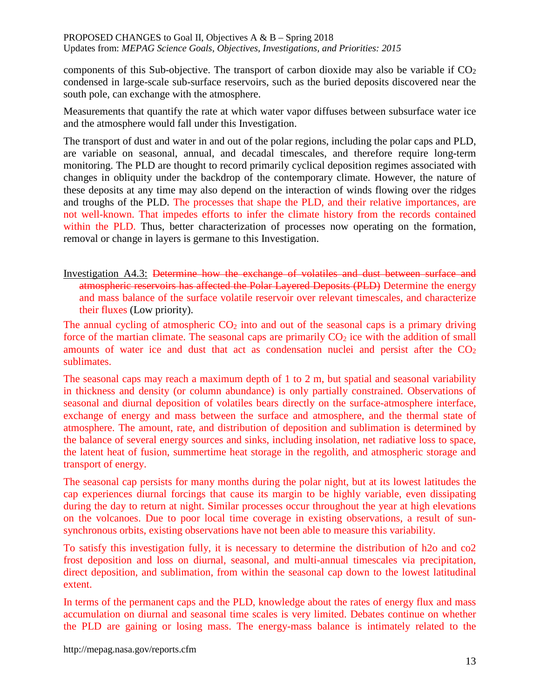components of this Sub-objective. The transport of carbon dioxide may also be variable if  $CO<sub>2</sub>$ condensed in large-scale sub-surface reservoirs, such as the buried deposits discovered near the south pole, can exchange with the atmosphere.

Measurements that quantify the rate at which water vapor diffuses between subsurface water ice and the atmosphere would fall under this Investigation.

The transport of dust and water in and out of the polar regions, including the polar caps and PLD, are variable on seasonal, annual, and decadal timescales, and therefore require long-term monitoring. The PLD are thought to record primarily cyclical deposition regimes associated with changes in obliquity under the backdrop of the contemporary climate. However, the nature of these deposits at any time may also depend on the interaction of winds flowing over the ridges and troughs of the PLD. The processes that shape the PLD, and their relative importances, are not well-known. That impedes efforts to infer the climate history from the records contained within the PLD. Thus, better characterization of processes now operating on the formation, removal or change in layers is germane to this Investigation.

Investigation A4.3: Determine how the exchange of volatiles and dust between surface and atmospheric reservoirs has affected the Polar Layered Deposits (PLD) Determine the energy and mass balance of the surface volatile reservoir over relevant timescales, and characterize their fluxes (Low priority).

The annual cycling of atmospheric  $CO<sub>2</sub>$  into and out of the seasonal caps is a primary driving force of the martian climate. The seasonal caps are primarily  $CO<sub>2</sub>$  ice with the addition of small amounts of water ice and dust that act as condensation nuclei and persist after the  $CO<sub>2</sub>$ sublimates.

The seasonal caps may reach a maximum depth of 1 to 2 m, but spatial and seasonal variability in thickness and density (or column abundance) is only partially constrained. Observations of seasonal and diurnal deposition of volatiles bears directly on the surface-atmosphere interface, exchange of energy and mass between the surface and atmosphere, and the thermal state of atmosphere. The amount, rate, and distribution of deposition and sublimation is determined by the balance of several energy sources and sinks, including insolation, net radiative loss to space, the latent heat of fusion, summertime heat storage in the regolith, and atmospheric storage and transport of energy.

The seasonal cap persists for many months during the polar night, but at its lowest latitudes the cap experiences diurnal forcings that cause its margin to be highly variable, even dissipating during the day to return at night. Similar processes occur throughout the year at high elevations on the volcanoes. Due to poor local time coverage in existing observations, a result of sunsynchronous orbits, existing observations have not been able to measure this variability.

To satisfy this investigation fully, it is necessary to determine the distribution of h2o and co2 frost deposition and loss on diurnal, seasonal, and multi-annual timescales via precipitation, direct deposition, and sublimation, from within the seasonal cap down to the lowest latitudinal extent.

In terms of the permanent caps and the PLD, knowledge about the rates of energy flux and mass accumulation on diurnal and seasonal time scales is very limited. Debates continue on whether the PLD are gaining or losing mass. The energy-mass balance is intimately related to the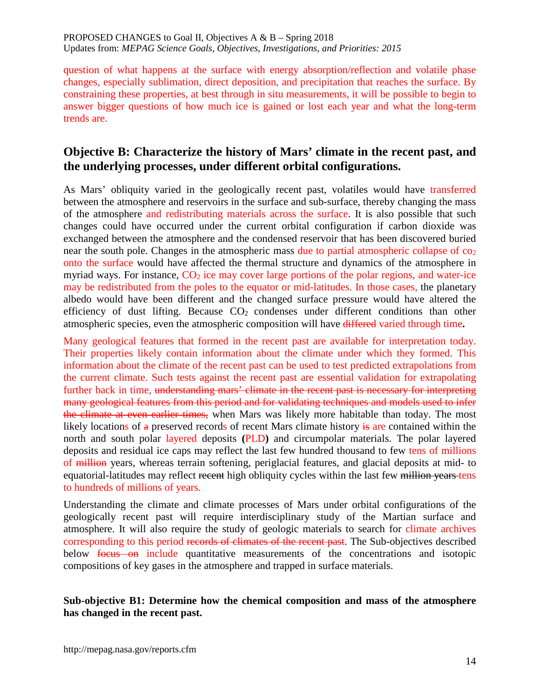question of what happens at the surface with energy absorption/reflection and volatile phase changes, especially sublimation, direct deposition, and precipitation that reaches the surface. By constraining these properties, at best through in situ measurements, it will be possible to begin to answer bigger questions of how much ice is gained or lost each year and what the long-term trends are.

# **Objective B: Characterize the history of Mars' climate in the recent past, and the underlying processes, under different orbital configurations.**

As Mars' obliquity varied in the geologically recent past, volatiles would have transferred between the atmosphere and reservoirs in the surface and sub-surface, thereby changing the mass of the atmosphere and redistributing materials across the surface. It is also possible that such changes could have occurred under the current orbital configuration if carbon dioxide was exchanged between the atmosphere and the condensed reservoir that has been discovered buried near the south pole. Changes in the atmospheric mass due to partial atmospheric collapse of  $\cos$ onto the surface would have affected the thermal structure and dynamics of the atmosphere in myriad ways. For instance,  $CO<sub>2</sub>$  ice may cover large portions of the polar regions, and water-ice may be redistributed from the poles to the equator or mid-latitudes. In those cases, the planetary albedo would have been different and the changed surface pressure would have altered the efficiency of dust lifting. Because  $CO<sub>2</sub>$  condenses under different conditions than other atmospheric species, even the atmospheric composition will have differed varied through time**.**

Many geological features that formed in the recent past are available for interpretation today. Their properties likely contain information about the climate under which they formed. This information about the climate of the recent past can be used to test predicted extrapolations from the current climate. Such tests against the recent past are essential validation for extrapolating further back in time, understanding mars' climate in the recent past is necessary for interpreting many geological features from this period and for validating techniques and models used to infer the climate at even earlier times, when Mars was likely more habitable than today. The most likely locations of  $\alpha$  preserved records of recent Mars climate history is are contained within the north and south polar layered deposits **(**PLD**)** and circumpolar materials. The polar layered deposits and residual ice caps may reflect the last few hundred thousand to few tens of millions of million years, whereas terrain softening, periglacial features, and glacial deposits at mid- to equatorial-latitudes may reflect recent high obliquity cycles within the last few million years tens to hundreds of millions of years.

Understanding the climate and climate processes of Mars under orbital configurations of the geologically recent past will require interdisciplinary study of the Martian surface and atmosphere. It will also require the study of geologic materials to search for climate archives corresponding to this period records of climates of the recent past. The Sub-objectives described below focus on include quantitative measurements of the concentrations and isotopic compositions of key gases in the atmosphere and trapped in surface materials.

#### **Sub-objective B1: Determine how the chemical composition and mass of the atmosphere has changed in the recent past.**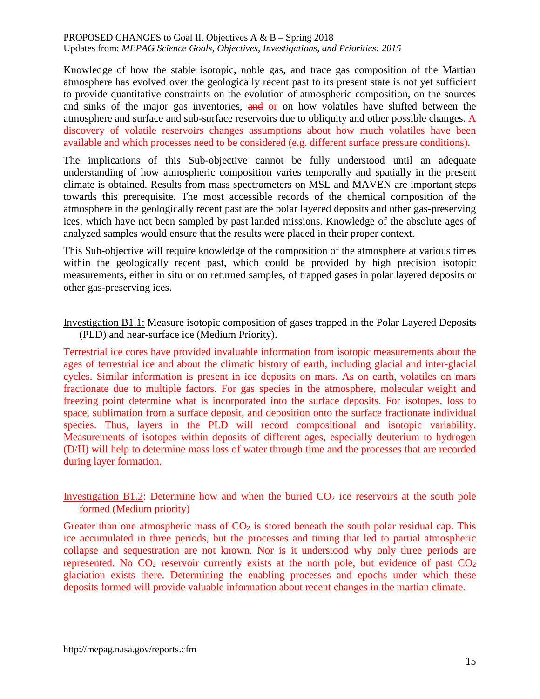Knowledge of how the stable isotopic, noble gas, and trace gas composition of the Martian atmosphere has evolved over the geologically recent past to its present state is not yet sufficient to provide quantitative constraints on the evolution of atmospheric composition, on the sources and sinks of the major gas inventories, and or on how volatiles have shifted between the atmosphere and surface and sub-surface reservoirs due to obliquity and other possible changes. A discovery of volatile reservoirs changes assumptions about how much volatiles have been available and which processes need to be considered (e.g. different surface pressure conditions).

The implications of this Sub-objective cannot be fully understood until an adequate understanding of how atmospheric composition varies temporally and spatially in the present climate is obtained. Results from mass spectrometers on MSL and MAVEN are important steps towards this prerequisite. The most accessible records of the chemical composition of the atmosphere in the geologically recent past are the polar layered deposits and other gas-preserving ices, which have not been sampled by past landed missions. Knowledge of the absolute ages of analyzed samples would ensure that the results were placed in their proper context.

This Sub-objective will require knowledge of the composition of the atmosphere at various times within the geologically recent past, which could be provided by high precision isotopic measurements, either in situ or on returned samples, of trapped gases in polar layered deposits or other gas-preserving ices.

Investigation B1.1: Measure isotopic composition of gases trapped in the Polar Layered Deposits (PLD) and near-surface ice (Medium Priority).

Terrestrial ice cores have provided invaluable information from isotopic measurements about the ages of terrestrial ice and about the climatic history of earth, including glacial and inter-glacial cycles. Similar information is present in ice deposits on mars. As on earth, volatiles on mars fractionate due to multiple factors. For gas species in the atmosphere, molecular weight and freezing point determine what is incorporated into the surface deposits. For isotopes, loss to space, sublimation from a surface deposit, and deposition onto the surface fractionate individual species. Thus, layers in the PLD will record compositional and isotopic variability. Measurements of isotopes within deposits of different ages, especially deuterium to hydrogen (D/H) will help to determine mass loss of water through time and the processes that are recorded during layer formation.

Investigation B1.2: Determine how and when the buried  $CO<sub>2</sub>$  ice reservoirs at the south pole formed (Medium priority)

Greater than one atmospheric mass of  $CO<sub>2</sub>$  is stored beneath the south polar residual cap. This ice accumulated in three periods, but the processes and timing that led to partial atmospheric collapse and sequestration are not known. Nor is it understood why only three periods are represented. No  $CO<sub>2</sub>$  reservoir currently exists at the north pole, but evidence of past  $CO<sub>2</sub>$ glaciation exists there. Determining the enabling processes and epochs under which these deposits formed will provide valuable information about recent changes in the martian climate.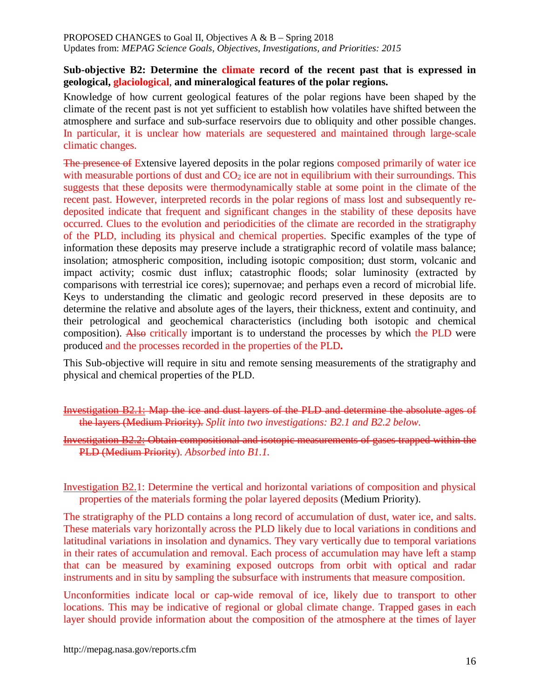#### **Sub-objective B2: Determine the climate record of the recent past that is expressed in geological, glaciological**, **and mineralogical features of the polar regions.**

Knowledge of how current geological features of the polar regions have been shaped by the climate of the recent past is not yet sufficient to establish how volatiles have shifted between the atmosphere and surface and sub-surface reservoirs due to obliquity and other possible changes. In particular, it is unclear how materials are sequestered and maintained through large-scale climatic changes.

The presence of Extensive layered deposits in the polar regions composed primarily of water ice with measurable portions of dust and  $CO<sub>2</sub>$  ice are not in equilibrium with their surroundings. This suggests that these deposits were thermodynamically stable at some point in the climate of the recent past. However, interpreted records in the polar regions of mass lost and subsequently redeposited indicate that frequent and significant changes in the stability of these deposits have occurred. Clues to the evolution and periodicities of the climate are recorded in the stratigraphy of the PLD, including its physical and chemical properties. Specific examples of the type of information these deposits may preserve include a stratigraphic record of volatile mass balance; insolation; atmospheric composition, including isotopic composition; dust storm, volcanic and impact activity; cosmic dust influx; catastrophic floods; solar luminosity (extracted by comparisons with terrestrial ice cores); supernovae; and perhaps even a record of microbial life. Keys to understanding the climatic and geologic record preserved in these deposits are to determine the relative and absolute ages of the layers, their thickness, extent and continuity, and their petrological and geochemical characteristics (including both isotopic and chemical composition). Also critically important is to understand the processes by which the PLD were produced and the processes recorded in the properties of the PLD**.**

This Sub-objective will require in situ and remote sensing measurements of the stratigraphy and physical and chemical properties of the PLD.

Investigation B2.1: Map the ice and dust layers of the PLD and determine the absolute ages of the layers (Medium Priority). *Split into two investigations: B2.1 and B2.2 below.*

Investigation B2.2: Obtain compositional and isotopic measurements of gases trapped within the PLD (Medium Priority). *Absorbed into B1.1.*

Investigation B2.1: Determine the vertical and horizontal variations of composition and physical properties of the materials forming the polar layered deposits (Medium Priority).

The stratigraphy of the PLD contains a long record of accumulation of dust, water ice, and salts. These materials vary horizontally across the PLD likely due to local variations in conditions and latitudinal variations in insolation and dynamics. They vary vertically due to temporal variations in their rates of accumulation and removal. Each process of accumulation may have left a stamp that can be measured by examining exposed outcrops from orbit with optical and radar instruments and in situ by sampling the subsurface with instruments that measure composition.

Unconformities indicate local or cap-wide removal of ice, likely due to transport to other locations. This may be indicative of regional or global climate change. Trapped gases in each layer should provide information about the composition of the atmosphere at the times of layer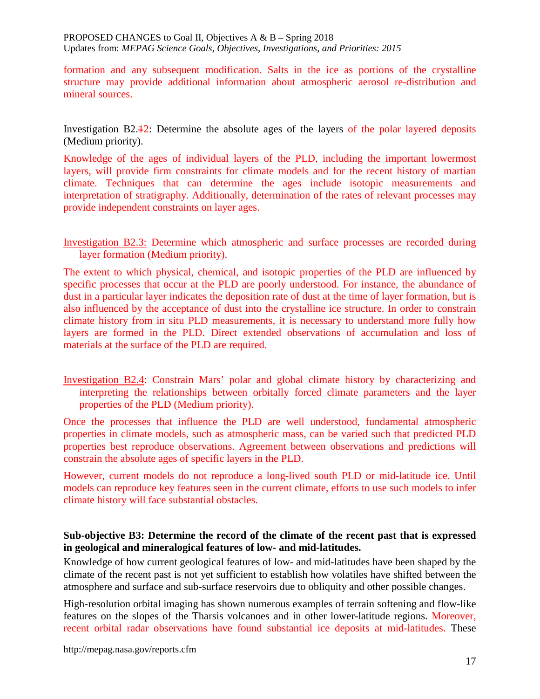formation and any subsequent modification. Salts in the ice as portions of the crystalline structure may provide additional information about atmospheric aerosol re-distribution and mineral sources.

Investigation B2.12: Determine the absolute ages of the layers of the polar layered deposits (Medium priority).

Knowledge of the ages of individual layers of the PLD, including the important lowermost layers, will provide firm constraints for climate models and for the recent history of martian climate. Techniques that can determine the ages include isotopic measurements and interpretation of stratigraphy. Additionally, determination of the rates of relevant processes may provide independent constraints on layer ages.

Investigation B2.3: Determine which atmospheric and surface processes are recorded during layer formation (Medium priority).

The extent to which physical, chemical, and isotopic properties of the PLD are influenced by specific processes that occur at the PLD are poorly understood. For instance, the abundance of dust in a particular layer indicates the deposition rate of dust at the time of layer formation, but is also influenced by the acceptance of dust into the crystalline ice structure. In order to constrain climate history from in situ PLD measurements, it is necessary to understand more fully how layers are formed in the PLD. Direct extended observations of accumulation and loss of materials at the surface of the PLD are required.

Investigation B2.4: Constrain Mars' polar and global climate history by characterizing and interpreting the relationships between orbitally forced climate parameters and the layer properties of the PLD (Medium priority).

Once the processes that influence the PLD are well understood, fundamental atmospheric properties in climate models, such as atmospheric mass, can be varied such that predicted PLD properties best reproduce observations. Agreement between observations and predictions will constrain the absolute ages of specific layers in the PLD.

However, current models do not reproduce a long-lived south PLD or mid-latitude ice. Until models can reproduce key features seen in the current climate, efforts to use such models to infer climate history will face substantial obstacles.

## **Sub-objective B3: Determine the record of the climate of the recent past that is expressed in geological and mineralogical features of low- and mid-latitudes.**

Knowledge of how current geological features of low- and mid-latitudes have been shaped by the climate of the recent past is not yet sufficient to establish how volatiles have shifted between the atmosphere and surface and sub-surface reservoirs due to obliquity and other possible changes.

High-resolution orbital imaging has shown numerous examples of terrain softening and flow-like features on the slopes of the Tharsis volcanoes and in other lower-latitude regions. Moreover, recent orbital radar observations have found substantial ice deposits at mid-latitudes. These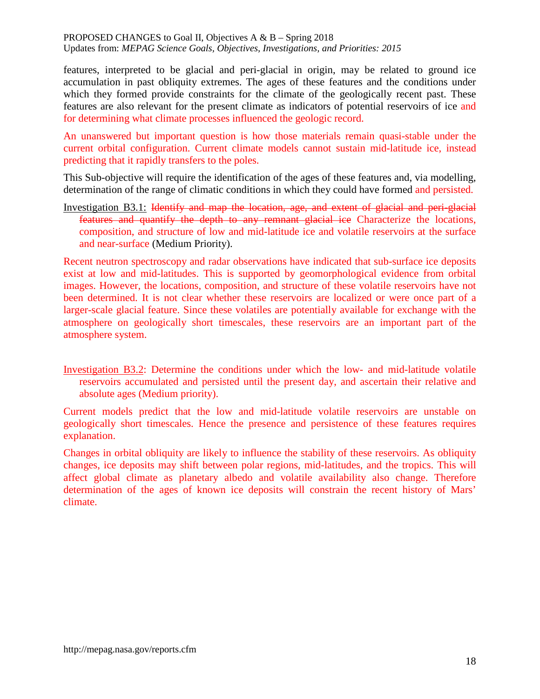features, interpreted to be glacial and peri-glacial in origin, may be related to ground ice accumulation in past obliquity extremes. The ages of these features and the conditions under which they formed provide constraints for the climate of the geologically recent past. These features are also relevant for the present climate as indicators of potential reservoirs of ice and for determining what climate processes influenced the geologic record.

An unanswered but important question is how those materials remain quasi-stable under the current orbital configuration. Current climate models cannot sustain mid-latitude ice, instead predicting that it rapidly transfers to the poles.

This Sub-objective will require the identification of the ages of these features and, via modelling, determination of the range of climatic conditions in which they could have formed and persisted.

Investigation B3.1: Identify and map the location, age, and extent of glacial and peri-glacial features and quantify the depth to any remnant glacial ice Characterize the locations, composition, and structure of low and mid-latitude ice and volatile reservoirs at the surface and near-surface (Medium Priority).

Recent neutron spectroscopy and radar observations have indicated that sub-surface ice deposits exist at low and mid-latitudes. This is supported by geomorphological evidence from orbital images. However, the locations, composition, and structure of these volatile reservoirs have not been determined. It is not clear whether these reservoirs are localized or were once part of a larger-scale glacial feature. Since these volatiles are potentially available for exchange with the atmosphere on geologically short timescales, these reservoirs are an important part of the atmosphere system.

Investigation B3.2: Determine the conditions under which the low- and mid-latitude volatile reservoirs accumulated and persisted until the present day, and ascertain their relative and absolute ages (Medium priority).

Current models predict that the low and mid-latitude volatile reservoirs are unstable on geologically short timescales. Hence the presence and persistence of these features requires explanation.

Changes in orbital obliquity are likely to influence the stability of these reservoirs. As obliquity changes, ice deposits may shift between polar regions, mid-latitudes, and the tropics. This will affect global climate as planetary albedo and volatile availability also change. Therefore determination of the ages of known ice deposits will constrain the recent history of Mars' climate.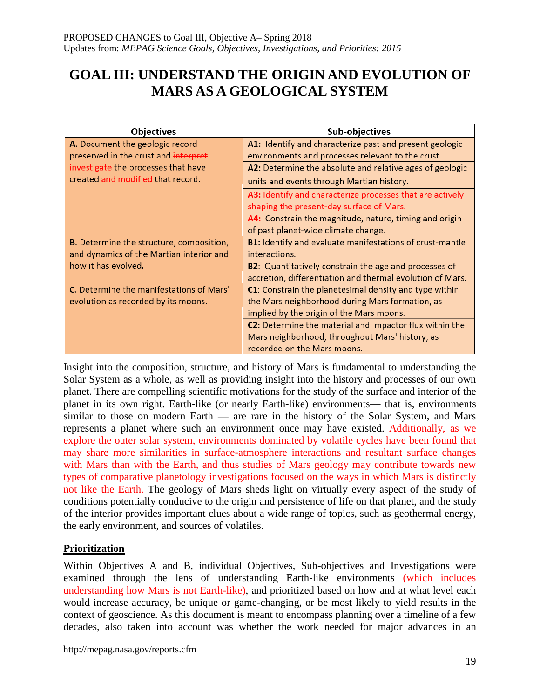# **GOAL III: UNDERSTAND THE ORIGIN AND EVOLUTION OF MARS AS A GEOLOGICAL SYSTEM**

| <b>Objectives</b>                               | Sub-objectives                                                |
|-------------------------------------------------|---------------------------------------------------------------|
| A. Document the geologic record                 | A1: Identify and characterize past and present geologic       |
| preserved in the crust and interpret            | environments and processes relevant to the crust.             |
| investigate the processes that have             | A2: Determine the absolute and relative ages of geologic      |
| created and modified that record.               | units and events through Martian history.                     |
|                                                 | A3: Identify and characterize processes that are actively     |
|                                                 | shaping the present-day surface of Mars.                      |
|                                                 | A4: Constrain the magnitude, nature, timing and origin        |
|                                                 | of past planet-wide climate change.                           |
| <b>B.</b> Determine the structure, composition, | B1: Identify and evaluate manifestations of crust-mantle      |
| and dynamics of the Martian interior and        | interactions.                                                 |
| how it has evolved.                             | <b>B2</b> : Quantitatively constrain the age and processes of |
|                                                 | accretion, differentiation and thermal evolution of Mars.     |
| C. Determine the manifestations of Mars'        | C1: Constrain the planetesimal density and type within        |
| evolution as recorded by its moons.             | the Mars neighborhood during Mars formation, as               |
|                                                 | implied by the origin of the Mars moons.                      |
|                                                 | C2: Determine the material and impactor flux within the       |
|                                                 | Mars neighborhood, throughout Mars' history, as               |
|                                                 | recorded on the Mars moons.                                   |

Insight into the composition, structure, and history of Mars is fundamental to understanding the Solar System as a whole, as well as providing insight into the history and processes of our own planet. There are compelling scientific motivations for the study of the surface and interior of the planet in its own right. Earth-like (or nearly Earth-like) environments— that is, environments similar to those on modern Earth — are rare in the history of the Solar System, and Mars represents a planet where such an environment once may have existed. Additionally, as we explore the outer solar system, environments dominated by volatile cycles have been found that may share more similarities in surface-atmosphere interactions and resultant surface changes with Mars than with the Earth, and thus studies of Mars geology may contribute towards new types of comparative planetology investigations focused on the ways in which Mars is distinctly not like the Earth. The geology of Mars sheds light on virtually every aspect of the study of conditions potentially conducive to the origin and persistence of life on that planet, and the study of the interior provides important clues about a wide range of topics, such as geothermal energy, the early environment, and sources of volatiles.

# **Prioritization**

Within Objectives A and B, individual Objectives, Sub-objectives and Investigations were examined through the lens of understanding Earth-like environments (which includes understanding how Mars is not Earth-like), and prioritized based on how and at what level each would increase accuracy, be unique or game-changing, or be most likely to yield results in the context of geoscience. As this document is meant to encompass planning over a timeline of a few decades, also taken into account was whether the work needed for major advances in an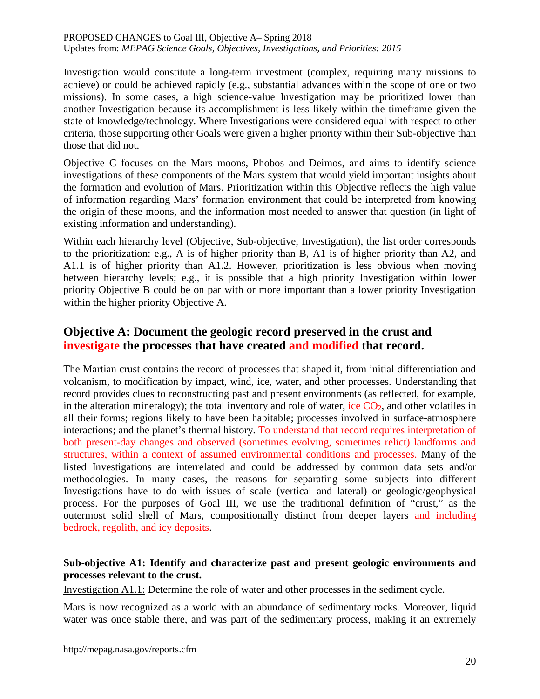Investigation would constitute a long-term investment (complex, requiring many missions to achieve) or could be achieved rapidly (e.g., substantial advances within the scope of one or two missions). In some cases, a high science-value Investigation may be prioritized lower than another Investigation because its accomplishment is less likely within the timeframe given the state of knowledge/technology. Where Investigations were considered equal with respect to other criteria, those supporting other Goals were given a higher priority within their Sub-objective than those that did not.

Objective C focuses on the Mars moons, Phobos and Deimos, and aims to identify science investigations of these components of the Mars system that would yield important insights about the formation and evolution of Mars. Prioritization within this Objective reflects the high value of information regarding Mars' formation environment that could be interpreted from knowing the origin of these moons, and the information most needed to answer that question (in light of existing information and understanding).

Within each hierarchy level (Objective, Sub-objective, Investigation), the list order corresponds to the prioritization: e.g., A is of higher priority than B, A1 is of higher priority than A2, and A1.1 is of higher priority than A1.2. However, prioritization is less obvious when moving between hierarchy levels; e.g., it is possible that a high priority Investigation within lower priority Objective B could be on par with or more important than a lower priority Investigation within the higher priority Objective A.

# **Objective A: Document the geologic record preserved in the crust and investigate the processes that have created and modified that record.**

The Martian crust contains the record of processes that shaped it, from initial differentiation and volcanism, to modification by impact, wind, ice, water, and other processes. Understanding that record provides clues to reconstructing past and present environments (as reflected, for example, in the alteration mineralogy); the total inventory and role of water,  $\frac{1}{100}$  CO<sub>2</sub>, and other volatiles in all their forms; regions likely to have been habitable; processes involved in surface-atmosphere interactions; and the planet's thermal history. To understand that record requires interpretation of both present-day changes and observed (sometimes evolving, sometimes relict) landforms and structures, within a context of assumed environmental conditions and processes. Many of the listed Investigations are interrelated and could be addressed by common data sets and/or methodologies. In many cases, the reasons for separating some subjects into different Investigations have to do with issues of scale (vertical and lateral) or geologic/geophysical process. For the purposes of Goal III, we use the traditional definition of "crust," as the outermost solid shell of Mars, compositionally distinct from deeper layers and including bedrock, regolith, and icy deposits.

# **Sub-objective A1: Identify and characterize past and present geologic environments and processes relevant to the crust.**

Investigation A1.1: Determine the role of water and other processes in the sediment cycle.

Mars is now recognized as a world with an abundance of sedimentary rocks. Moreover, liquid water was once stable there, and was part of the sedimentary process, making it an extremely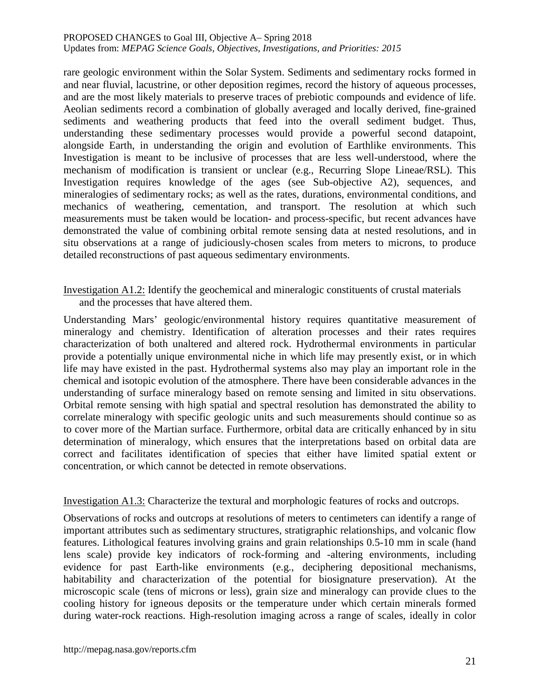rare geologic environment within the Solar System. Sediments and sedimentary rocks formed in and near fluvial, lacustrine, or other deposition regimes, record the history of aqueous processes, and are the most likely materials to preserve traces of prebiotic compounds and evidence of life. Aeolian sediments record a combination of globally averaged and locally derived, fine-grained sediments and weathering products that feed into the overall sediment budget. Thus, understanding these sedimentary processes would provide a powerful second datapoint, alongside Earth, in understanding the origin and evolution of Earthlike environments. This Investigation is meant to be inclusive of processes that are less well-understood, where the mechanism of modification is transient or unclear (e.g., Recurring Slope Lineae/RSL). This Investigation requires knowledge of the ages (see Sub-objective A2), sequences, and mineralogies of sedimentary rocks; as well as the rates, durations, environmental conditions, and mechanics of weathering, cementation, and transport. The resolution at which such measurements must be taken would be location- and process-specific, but recent advances have demonstrated the value of combining orbital remote sensing data at nested resolutions, and in situ observations at a range of judiciously-chosen scales from meters to microns, to produce detailed reconstructions of past aqueous sedimentary environments.

Investigation A1.2: Identify the geochemical and mineralogic constituents of crustal materials and the processes that have altered them.

Understanding Mars' geologic/environmental history requires quantitative measurement of mineralogy and chemistry. Identification of alteration processes and their rates requires characterization of both unaltered and altered rock. Hydrothermal environments in particular provide a potentially unique environmental niche in which life may presently exist, or in which life may have existed in the past. Hydrothermal systems also may play an important role in the chemical and isotopic evolution of the atmosphere. There have been considerable advances in the understanding of surface mineralogy based on remote sensing and limited in situ observations. Orbital remote sensing with high spatial and spectral resolution has demonstrated the ability to correlate mineralogy with specific geologic units and such measurements should continue so as to cover more of the Martian surface. Furthermore, orbital data are critically enhanced by in situ determination of mineralogy, which ensures that the interpretations based on orbital data are correct and facilitates identification of species that either have limited spatial extent or concentration, or which cannot be detected in remote observations.

Investigation A1.3: Characterize the textural and morphologic features of rocks and outcrops.

Observations of rocks and outcrops at resolutions of meters to centimeters can identify a range of important attributes such as sedimentary structures, stratigraphic relationships, and volcanic flow features. Lithological features involving grains and grain relationships 0.5-10 mm in scale (hand lens scale) provide key indicators of rock-forming and -altering environments, including evidence for past Earth-like environments (e.g., deciphering depositional mechanisms, habitability and characterization of the potential for biosignature preservation). At the microscopic scale (tens of microns or less), grain size and mineralogy can provide clues to the cooling history for igneous deposits or the temperature under which certain minerals formed during water-rock reactions. High-resolution imaging across a range of scales, ideally in color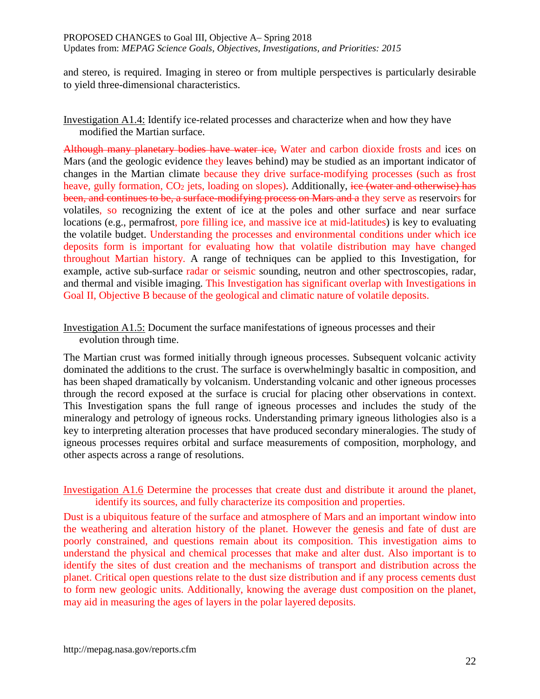and stereo, is required. Imaging in stereo or from multiple perspectives is particularly desirable to yield three-dimensional characteristics.

# Investigation A1.4: Identify ice-related processes and characterize when and how they have modified the Martian surface.

Although many planetary bodies have water ice, Water and carbon dioxide frosts and ices on Mars (and the geologic evidence they leaves behind) may be studied as an important indicator of changes in the Martian climate because they drive surface-modifying processes (such as frost heave, gully formation,  $CO<sub>2</sub>$  jets, loading on slopes). Additionally, ice (water and otherwise) has been, and continues to be, a surface-modifying process on Mars and a they serve as reservoirs for volatiles, so recognizing the extent of ice at the poles and other surface and near surface locations (e.g., permafrost, pore filling ice, and massive ice at mid-latitudes) is key to evaluating the volatile budget. Understanding the processes and environmental conditions under which ice deposits form is important for evaluating how that volatile distribution may have changed throughout Martian history. A range of techniques can be applied to this Investigation, for example, active sub-surface radar or seismic sounding, neutron and other spectroscopies, radar, and thermal and visible imaging. This Investigation has significant overlap with Investigations in Goal II, Objective B because of the geological and climatic nature of volatile deposits.

Investigation A1.5: Document the surface manifestations of igneous processes and their evolution through time.

The Martian crust was formed initially through igneous processes. Subsequent volcanic activity dominated the additions to the crust. The surface is overwhelmingly basaltic in composition, and has been shaped dramatically by volcanism. Understanding volcanic and other igneous processes through the record exposed at the surface is crucial for placing other observations in context. This Investigation spans the full range of igneous processes and includes the study of the mineralogy and petrology of igneous rocks. Understanding primary igneous lithologies also is a key to interpreting alteration processes that have produced secondary mineralogies. The study of igneous processes requires orbital and surface measurements of composition, morphology, and other aspects across a range of resolutions.

Investigation A1.6 Determine the processes that create dust and distribute it around the planet, identify its sources, and fully characterize its composition and properties.

Dust is a ubiquitous feature of the surface and atmosphere of Mars and an important window into the weathering and alteration history of the planet. However the genesis and fate of dust are poorly constrained, and questions remain about its composition. This investigation aims to understand the physical and chemical processes that make and alter dust. Also important is to identify the sites of dust creation and the mechanisms of transport and distribution across the planet. Critical open questions relate to the dust size distribution and if any process cements dust to form new geologic units. Additionally, knowing the average dust composition on the planet, may aid in measuring the ages of layers in the polar layered deposits.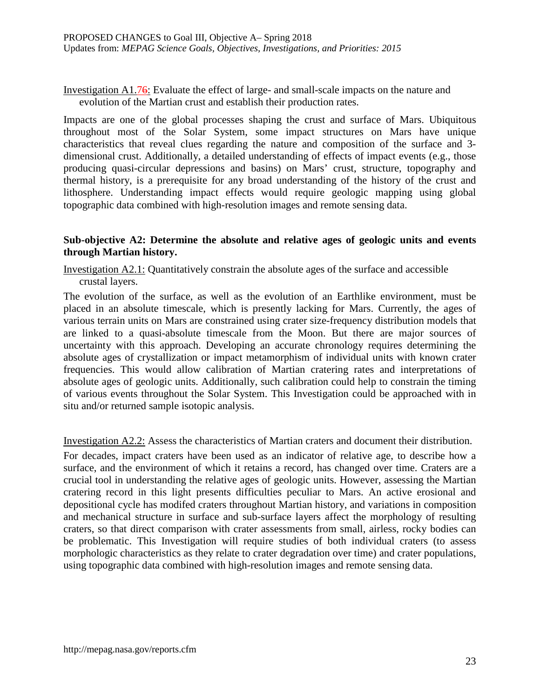Investigation A1.76: Evaluate the effect of large- and small-scale impacts on the nature and evolution of the Martian crust and establish their production rates.

Impacts are one of the global processes shaping the crust and surface of Mars. Ubiquitous throughout most of the Solar System, some impact structures on Mars have unique characteristics that reveal clues regarding the nature and composition of the surface and 3 dimensional crust. Additionally, a detailed understanding of effects of impact events (e.g., those producing quasi-circular depressions and basins) on Mars' crust, structure, topography and thermal history, is a prerequisite for any broad understanding of the history of the crust and lithosphere. Understanding impact effects would require geologic mapping using global topographic data combined with high-resolution images and remote sensing data.

## **Sub-objective A2: Determine the absolute and relative ages of geologic units and events through Martian history.**

Investigation A2.1: Quantitatively constrain the absolute ages of the surface and accessible crustal layers.

The evolution of the surface, as well as the evolution of an Earthlike environment, must be placed in an absolute timescale, which is presently lacking for Mars. Currently, the ages of various terrain units on Mars are constrained using crater size-frequency distribution models that are linked to a quasi-absolute timescale from the Moon. But there are major sources of uncertainty with this approach. Developing an accurate chronology requires determining the absolute ages of crystallization or impact metamorphism of individual units with known crater frequencies. This would allow calibration of Martian cratering rates and interpretations of absolute ages of geologic units. Additionally, such calibration could help to constrain the timing of various events throughout the Solar System. This Investigation could be approached with in situ and/or returned sample isotopic analysis.

Investigation A2.2: Assess the characteristics of Martian craters and document their distribution.

For decades, impact craters have been used as an indicator of relative age, to describe how a surface, and the environment of which it retains a record, has changed over time. Craters are a crucial tool in understanding the relative ages of geologic units. However, assessing the Martian cratering record in this light presents difficulties peculiar to Mars. An active erosional and depositional cycle has modifed craters throughout Martian history, and variations in composition and mechanical structure in surface and sub-surface layers affect the morphology of resulting craters, so that direct comparison with crater assessments from small, airless, rocky bodies can be problematic. This Investigation will require studies of both individual craters (to assess morphologic characteristics as they relate to crater degradation over time) and crater populations, using topographic data combined with high-resolution images and remote sensing data.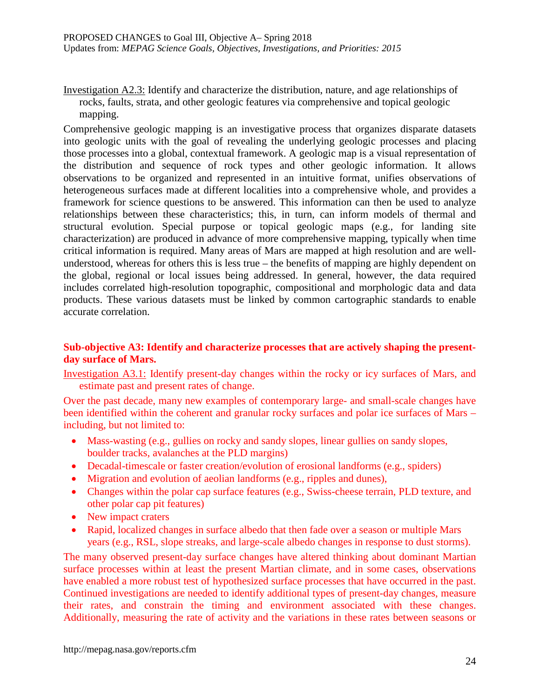Investigation A2.3: Identify and characterize the distribution, nature, and age relationships of rocks, faults, strata, and other geologic features via comprehensive and topical geologic mapping.

Comprehensive geologic mapping is an investigative process that organizes disparate datasets into geologic units with the goal of revealing the underlying geologic processes and placing those processes into a global, contextual framework. A geologic map is a visual representation of the distribution and sequence of rock types and other geologic information. It allows observations to be organized and represented in an intuitive format, unifies observations of heterogeneous surfaces made at different localities into a comprehensive whole, and provides a framework for science questions to be answered. This information can then be used to analyze relationships between these characteristics; this, in turn, can inform models of thermal and structural evolution. Special purpose or topical geologic maps (e.g., for landing site characterization) are produced in advance of more comprehensive mapping, typically when time critical information is required. Many areas of Mars are mapped at high resolution and are wellunderstood, whereas for others this is less true – the benefits of mapping are highly dependent on the global, regional or local issues being addressed. In general, however, the data required includes correlated high-resolution topographic, compositional and morphologic data and data products. These various datasets must be linked by common cartographic standards to enable accurate correlation.

## **Sub-objective A3: Identify and characterize processes that are actively shaping the presentday surface of Mars.**

Investigation A3.1: Identify present-day changes within the rocky or icy surfaces of Mars, and estimate past and present rates of change.

Over the past decade, many new examples of contemporary large- and small-scale changes have been identified within the coherent and granular rocky surfaces and polar ice surfaces of Mars – including, but not limited to:

- Mass-wasting (e.g., gullies on rocky and sandy slopes, linear gullies on sandy slopes, boulder tracks, avalanches at the PLD margins)
- Decadal-timescale or faster creation/evolution of erosional landforms (e.g., spiders)
- Migration and evolution of aeolian landforms (e.g., ripples and dunes),
- Changes within the polar cap surface features (e.g., Swiss-cheese terrain, PLD texture, and other polar cap pit features)
- New impact craters
- Rapid, localized changes in surface albedo that then fade over a season or multiple Mars years (e.g., RSL, slope streaks, and large-scale albedo changes in response to dust storms).

The many observed present-day surface changes have altered thinking about dominant Martian surface processes within at least the present Martian climate, and in some cases, observations have enabled a more robust test of hypothesized surface processes that have occurred in the past. Continued investigations are needed to identify additional types of present-day changes, measure their rates, and constrain the timing and environment associated with these changes. Additionally, measuring the rate of activity and the variations in these rates between seasons or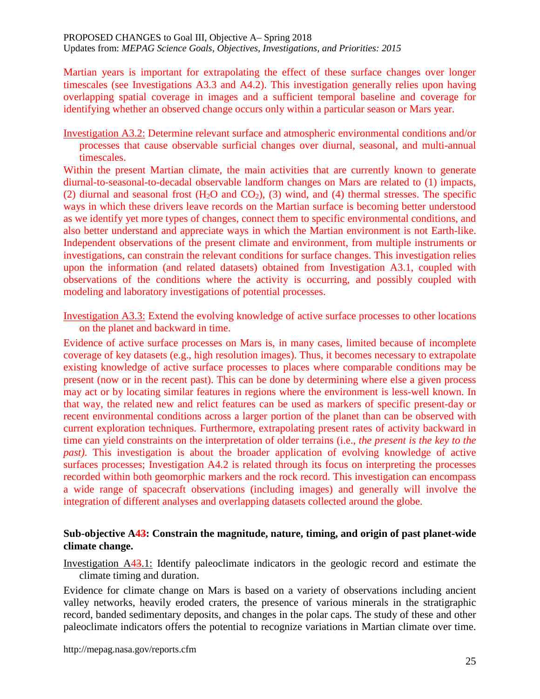Martian years is important for extrapolating the effect of these surface changes over longer timescales (see Investigations A3.3 and A4.2). This investigation generally relies upon having overlapping spatial coverage in images and a sufficient temporal baseline and coverage for identifying whether an observed change occurs only within a particular season or Mars year.

Investigation A3.2: Determine relevant surface and atmospheric environmental conditions and/or processes that cause observable surficial changes over diurnal, seasonal, and multi-annual timescales.

Within the present Martian climate, the main activities that are currently known to generate diurnal-to-seasonal-to-decadal observable landform changes on Mars are related to (1) impacts, (2) diurnal and seasonal frost  $(H_2O$  and  $CO_2$ ), (3) wind, and (4) thermal stresses. The specific ways in which these drivers leave records on the Martian surface is becoming better understood as we identify yet more types of changes, connect them to specific environmental conditions, and also better understand and appreciate ways in which the Martian environment is not Earth-like. Independent observations of the present climate and environment, from multiple instruments or investigations, can constrain the relevant conditions for surface changes. This investigation relies upon the information (and related datasets) obtained from Investigation A3.1, coupled with observations of the conditions where the activity is occurring, and possibly coupled with modeling and laboratory investigations of potential processes.

Investigation A3.3: Extend the evolving knowledge of active surface processes to other locations on the planet and backward in time.

Evidence of active surface processes on Mars is, in many cases, limited because of incomplete coverage of key datasets (e.g., high resolution images). Thus, it becomes necessary to extrapolate existing knowledge of active surface processes to places where comparable conditions may be present (now or in the recent past). This can be done by determining where else a given process may act or by locating similar features in regions where the environment is less-well known. In that way, the related new and relict features can be used as markers of specific present-day or recent environmental conditions across a larger portion of the planet than can be observed with current exploration techniques. Furthermore, extrapolating present rates of activity backward in time can yield constraints on the interpretation of older terrains (i.e., *the present is the key to the past)*. This investigation is about the broader application of evolving knowledge of active surfaces processes; Investigation A4.2 is related through its focus on interpreting the processes recorded within both geomorphic markers and the rock record. This investigation can encompass a wide range of spacecraft observations (including images) and generally will involve the integration of different analyses and overlapping datasets collected around the globe.

## **Sub-objective A43: Constrain the magnitude, nature, timing, and origin of past planet-wide climate change.**

Investigation A43.1: Identify paleoclimate indicators in the geologic record and estimate the climate timing and duration.

Evidence for climate change on Mars is based on a variety of observations including ancient valley networks, heavily eroded craters, the presence of various minerals in the stratigraphic record, banded sedimentary deposits, and changes in the polar caps. The study of these and other paleoclimate indicators offers the potential to recognize variations in Martian climate over time.